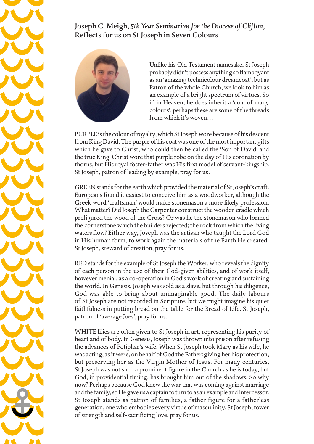## Joseph C. Meigh, *5th Year Seminarian for the Diocese of Clifton,*  Reflects for us on St Joseph in Seven Colours



Unlike his Old Testament namesake, St Joseph probably didn't possess anything so flamboyant as an 'amazing technicolour dreamcoat', but as Patron of the whole Church, we look to him as an example of a bright spectrum of virtues. So if, in Heaven, he does inherit a 'coat of many colours', perhaps these are some of the threads from which it's woven…

PURPLE is the colour of royalty, which St Joseph wore because of his descent from King David. The purple of his coat was one of the most important gifts which he gave to Christ, who could then be called the 'Son of David' and the true King. Christ wore that purple robe on the day of His coronation by thorns, but His royal foster-father was His first model of servant-kingship. St Joseph, patron of leading by example, pray for us.

GREEN stands for the earth which provided the material of St Joseph's craft. Europeans found it easiest to conceive him as a woodworker, although the Greek word 'craftsman' would make stonemason a more likely profession. What matter? Did Joseph the Carpenter construct the wooden cradle which prefigured the wood of the Cross? Or was he the stonemason who formed the cornerstone which the builders rejected; the rock from which the living waters flow? Either way, Joseph was the artisan who taught the Lord God in His human form, to work again the materials of the Earth He created. St Joseph, steward of creation, pray for us.

RED stands for the example of St Joseph the Worker, who reveals the dignity of each person in the use of their God-given abilities, and of work itself, however menial, as a co-operation in God's work of creating and sustaining the world. In Genesis, Joseph was sold as a slave, but through his diligence, God was able to bring about unimaginable good. The daily labours of St Joseph are not recorded in Scripture, but we might imagine his quiet faithfulness in putting bread on the table for the Bread of Life. St Joseph, patron of 'average Joes', pray for us.

WHITE lilies are often given to St Joseph in art, representing his purity of heart and of body. In Genesis, Joseph was thrown into prison after refusing the advances of Potiphar's wife. When St Joseph took Mary as his wife, he was acting, as it were, on behalf of God the Father: giving her his protection, but preserving her as the Virgin Mother of Jesus. For many centuries, St Joseph was not such a prominent figure in the Church as he is today, but God, in providential timing, has brought him out of the shadows. So why now? Perhaps because God knew the war that was coming against marriage and the family, so He gave us a captain to turn to as an example and intercessor. St Joseph stands as patron of families, a father figure for a fatherless generation, one who embodies every virtue of masculinity. St Joseph, tower of strength and self-sacrificing love, pray for us.